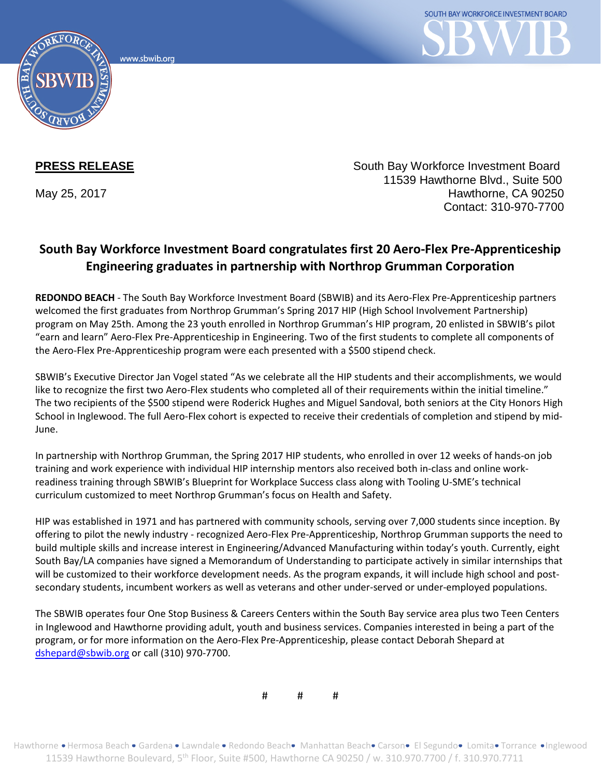www.sbwib.orc



**PRESS RELEASE** South Bay Workforce Investment Board 11539 Hawthorne Blvd., Suite 500 May 25, 2017 **Hawthorne, CA 90250** Contact: 310-970-7700

## **South Bay Workforce Investment Board congratulates first 20 Aero-Flex Pre-Apprenticeship Engineering graduates in partnership with Northrop Grumman Corporation**

**REDONDO BEACH** - The South Bay Workforce Investment Board (SBWIB) and its Aero-Flex Pre-Apprenticeship partners welcomed the first graduates from Northrop Grumman's Spring 2017 HIP (High School Involvement Partnership) program on May 25th. Among the 23 youth enrolled in Northrop Grumman's HIP program, 20 enlisted in SBWIB's pilot "earn and learn" Aero-Flex Pre-Apprenticeship in Engineering. Two of the first students to complete all components of the Aero-Flex Pre-Apprenticeship program were each presented with a \$500 stipend check.

SBWIB's Executive Director Jan Vogel stated "As we celebrate all the HIP students and their accomplishments, we would like to recognize the first two Aero-Flex students who completed all of their requirements within the initial timeline." The two recipients of the \$500 stipend were Roderick Hughes and Miguel Sandoval, both seniors at the City Honors High School in Inglewood. The full Aero-Flex cohort is expected to receive their credentials of completion and stipend by mid-June.

In partnership with Northrop Grumman, the Spring 2017 HIP students, who enrolled in over 12 weeks of hands-on job training and work experience with individual HIP internship mentors also received both in-class and online workreadiness training through SBWIB's Blueprint for Workplace Success class along with Tooling U-SME's technical curriculum customized to meet Northrop Grumman's focus on Health and Safety.

HIP was established in 1971 and has partnered with community schools, serving over 7,000 students since inception. By offering to pilot the newly industry - recognized Aero-Flex Pre-Apprenticeship, Northrop Grumman supports the need to build multiple skills and increase interest in Engineering/Advanced Manufacturing within today's youth. Currently, eight South Bay/LA companies have signed a Memorandum of Understanding to participate actively in similar internships that will be customized to their workforce development needs. As the program expands, it will include high school and postsecondary students, incumbent workers as well as veterans and other under-served or under-employed populations.

The SBWIB operates four One Stop Business & Careers Centers within the South Bay service area plus two Teen Centers in Inglewood and Hawthorne providing adult, youth and business services. Companies interested in being a part of the program, or for more information on the Aero-Flex Pre-Apprenticeship, please contact Deborah Shepard at [dshepard@sbwib.org](mailto:dshepard@sbwib.org) or call (310) 970-7700.

# # #